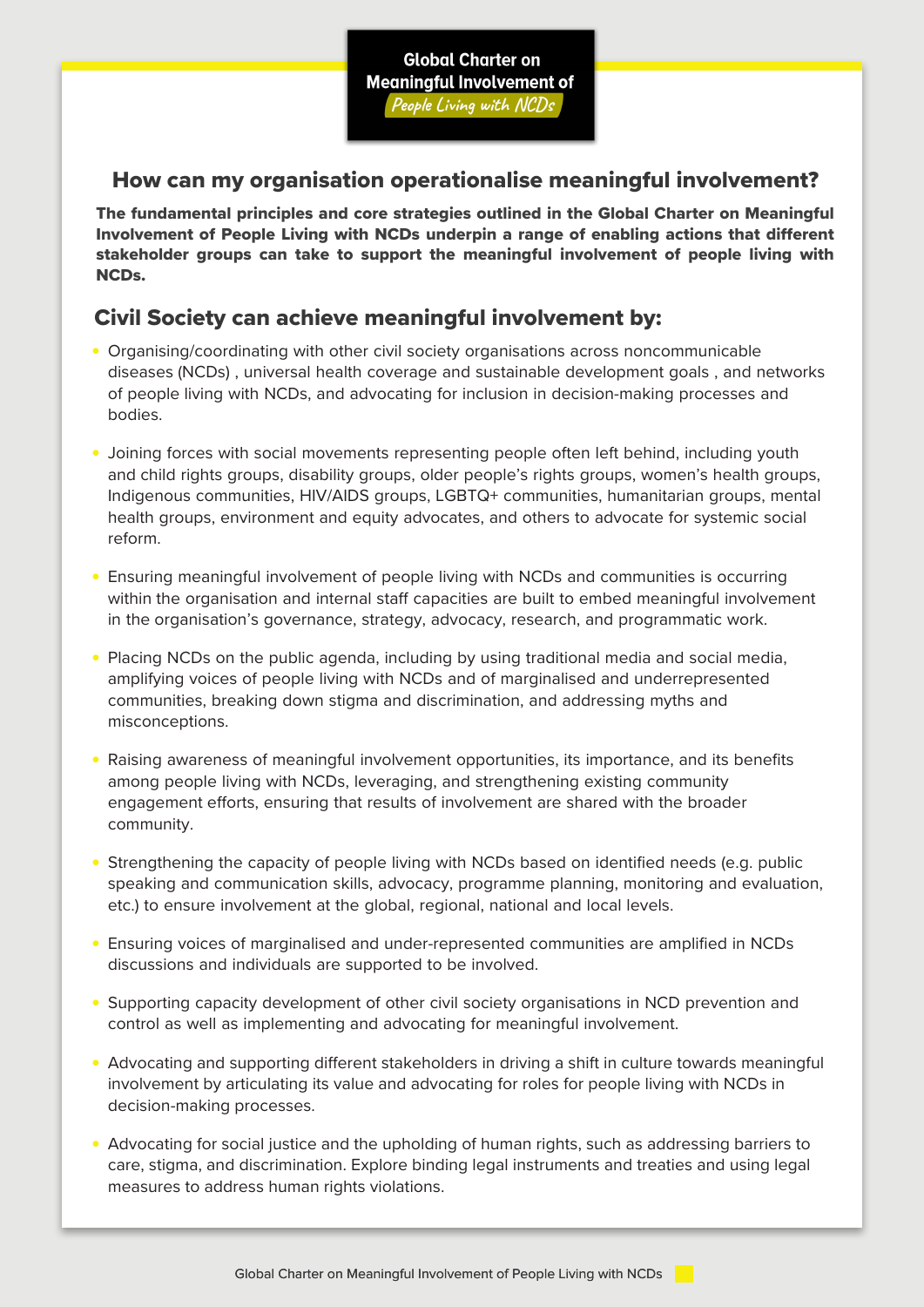## How can my organisation operationalise meaningful involvement?

The fundamental principles and core strategies outlined in the Global Charter on Meaningful Involvement of People Living with NCDs underpin a range of enabling actions that different stakeholder groups can take to support the meaningful involvement of people living with NCDs.

## Civil Society can achieve meaningful involvement by:

- Organising/coordinating with other civil society organisations across noncommunicable diseases (NCDs) , universal health coverage and sustainable development goals , and networks of people living with NCDs, and advocating for inclusion in decision-making processes and bodies.
- Joining forces with social movements representing people often left behind, including youth and child rights groups, disability groups, older people's rights groups, women's health groups, Indigenous communities, HIV/AIDS groups, LGBTQ+ communities, humanitarian groups, mental health groups, environment and equity advocates, and others to advocate for systemic social reform.
- Ensuring meaningful involvement of people living with NCDs and communities is occurring within the organisation and internal staff capacities are built to embed meaningful involvement in the organisation's governance, strategy, advocacy, research, and programmatic work.
- Placing NCDs on the public agenda, including by using traditional media and social media, amplifying voices of people living with NCDs and of marginalised and underrepresented communities, breaking down stigma and discrimination, and addressing myths and misconceptions.
- Raising awareness of meaningful involvement opportunities, its importance, and its benefits among people living with NCDs, leveraging, and strengthening existing community engagement efforts, ensuring that results of involvement are shared with the broader community.
- Strengthening the capacity of people living with NCDs based on identified needs (e.g. public speaking and communication skills, advocacy, programme planning, monitoring and evaluation, etc.) to ensure involvement at the global, regional, national and local levels.
- Ensuring voices of marginalised and under-represented communities are amplified in NCDs discussions and individuals are supported to be involved.
- Supporting capacity development of other civil society organisations in NCD prevention and control as well as implementing and advocating for meaningful involvement.
- Advocating and supporting different stakeholders in driving a shift in culture towards meaningful involvement by articulating its value and advocating for roles for people living with NCDs in decision-making processes.
- Advocating for social justice and the upholding of human rights, such as addressing barriers to care, stigma, and discrimination. Explore binding legal instruments and treaties and using legal measures to address human rights violations.